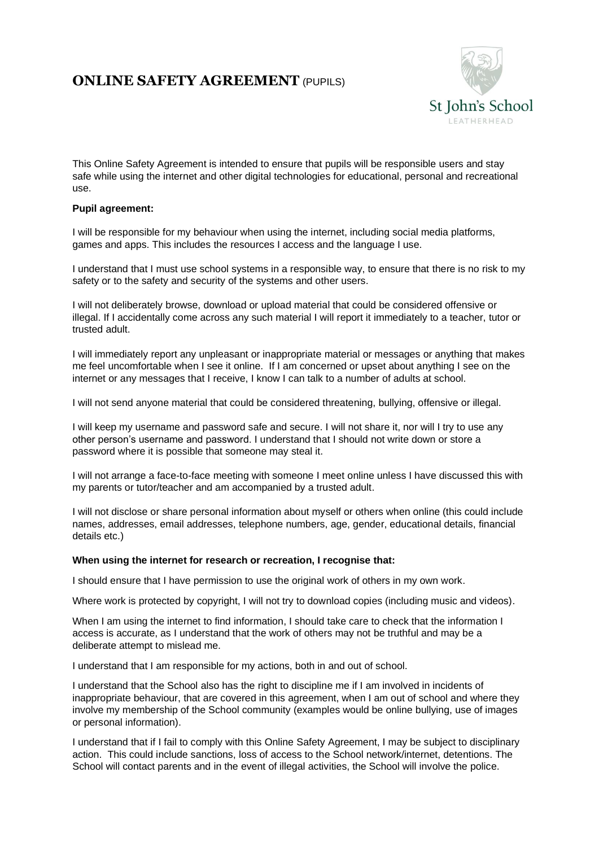## **ONLINE SAFETY AGREEMENT** (PUPILS)



This Online Safety Agreement is intended to ensure that pupils will be responsible users and stay safe while using the internet and other digital technologies for educational, personal and recreational use.

## **Pupil agreement:**

I will be responsible for my behaviour when using the internet, including social media platforms, games and apps. This includes the resources I access and the language I use.

I understand that I must use school systems in a responsible way, to ensure that there is no risk to my safety or to the safety and security of the systems and other users.

I will not deliberately browse, download or upload material that could be considered offensive or illegal. If I accidentally come across any such material I will report it immediately to a teacher, tutor or trusted adult.

I will immediately report any unpleasant or inappropriate material or messages or anything that makes me feel uncomfortable when I see it online. If I am concerned or upset about anything I see on the internet or any messages that I receive, I know I can talk to a number of adults at school.

I will not send anyone material that could be considered threatening, bullying, offensive or illegal.

I will keep my username and password safe and secure. I will not share it, nor will I try to use any other person's username and password. I understand that I should not write down or store a password where it is possible that someone may steal it.

I will not arrange a face-to-face meeting with someone I meet online unless I have discussed this with my parents or tutor/teacher and am accompanied by a trusted adult.

I will not disclose or share personal information about myself or others when online (this could include names, addresses, email addresses, telephone numbers, age, gender, educational details, financial details etc.)

## **When using the internet for research or recreation, I recognise that:**

I should ensure that I have permission to use the original work of others in my own work.

Where work is protected by copyright, I will not try to download copies (including music and videos).

When I am using the internet to find information, I should take care to check that the information I access is accurate, as I understand that the work of others may not be truthful and may be a deliberate attempt to mislead me.

I understand that I am responsible for my actions, both in and out of school.

I understand that the School also has the right to discipline me if I am involved in incidents of inappropriate behaviour, that are covered in this agreement, when I am out of school and where they involve my membership of the School community (examples would be online bullying, use of images or personal information).

I understand that if I fail to comply with this Online Safety Agreement, I may be subject to disciplinary action. This could include sanctions, loss of access to the School network/internet, detentions. The School will contact parents and in the event of illegal activities, the School will involve the police.